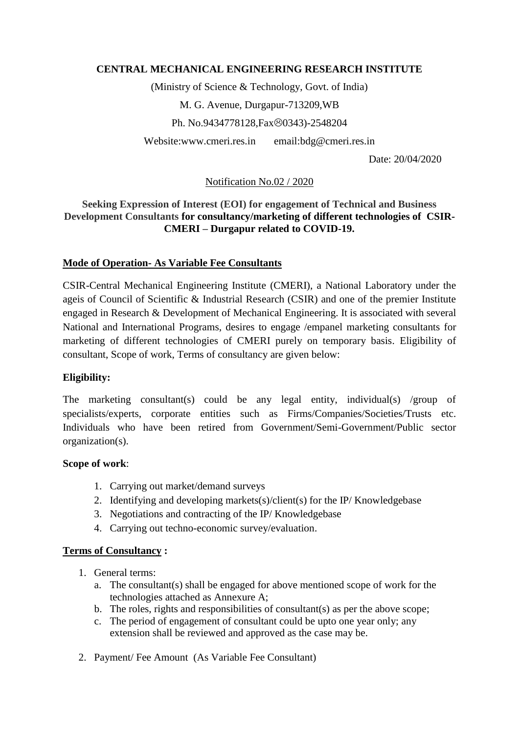# **CENTRAL MECHANICAL ENGINEERING RESEARCH INSTITUTE**

(Ministry of Science & Technology, Govt. of India) M. G. Avenue, Durgapur-713209,WB Ph. No.9434778128, Fax©0343)-2548204 Website:www.cmeri.res.in email:bdg@cmeri.res.in

Date: 20/04/2020

# Notification No.02 / 2020

## **Seeking Expression of Interest (EOI) for engagement of Technical and Business Development Consultants for consultancy/marketing of different technologies of CSIR-CMERI – Durgapur related to COVID-19.**

## **Mode of Operation- As Variable Fee Consultants**

CSIR-Central Mechanical Engineering Institute (CMERI), a National Laboratory under the ageis of Council of Scientific & Industrial Research (CSIR) and one of the premier Institute engaged in Research & Development of Mechanical Engineering. It is associated with several National and International Programs, desires to engage /empanel marketing consultants for marketing of different technologies of CMERI purely on temporary basis. Eligibility of consultant, Scope of work, Terms of consultancy are given below:

#### **Eligibility:**

The marketing consultant(s) could be any legal entity, individual(s) /group of specialists/experts, corporate entities such as Firms/Companies/Societies/Trusts etc. Individuals who have been retired from Government/Semi-Government/Public sector organization(s).

#### **Scope of work**:

- 1. Carrying out market/demand surveys
- 2. Identifying and developing markets(s)/client(s) for the IP/ Knowledgebase
- 3. Negotiations and contracting of the IP/ Knowledgebase
- 4. Carrying out techno-economic survey/evaluation.

#### **Terms of Consultancy :**

- 1. General terms:
	- a. The consultant(s) shall be engaged for above mentioned scope of work for the technologies attached as Annexure A;
	- b. The roles, rights and responsibilities of consultant(s) as per the above scope;
	- c. The period of engagement of consultant could be upto one year only; any extension shall be reviewed and approved as the case may be.
- 2. Payment/ Fee Amount (As Variable Fee Consultant)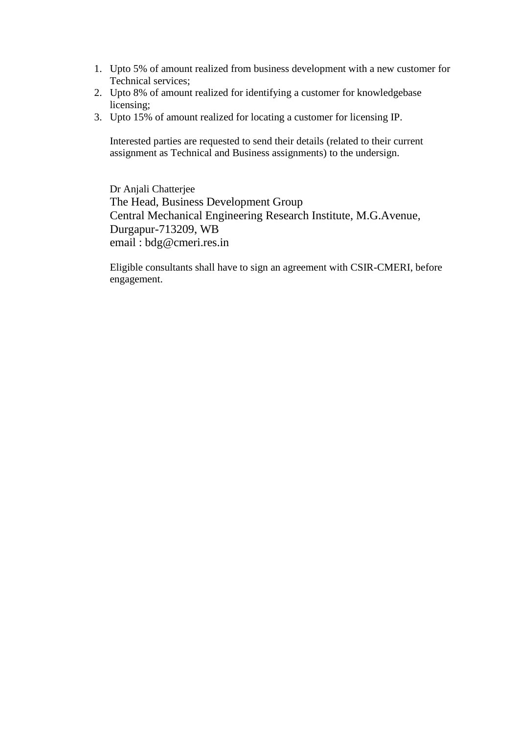- 1. Upto 5% of amount realized from business development with a new customer for Technical services;
- 2. Upto 8% of amount realized for identifying a customer for knowledgebase licensing;
- 3. Upto 15% of amount realized for locating a customer for licensing IP.

Interested parties are requested to send their details (related to their current assignment as Technical and Business assignments) to the undersign.

Dr Anjali Chatterjee The Head, Business Development Group Central Mechanical Engineering Research Institute, M.G.Avenue, Durgapur-713209, WB email : bdg@cmeri.res.in

Eligible consultants shall have to sign an agreement with CSIR-CMERI, before engagement.